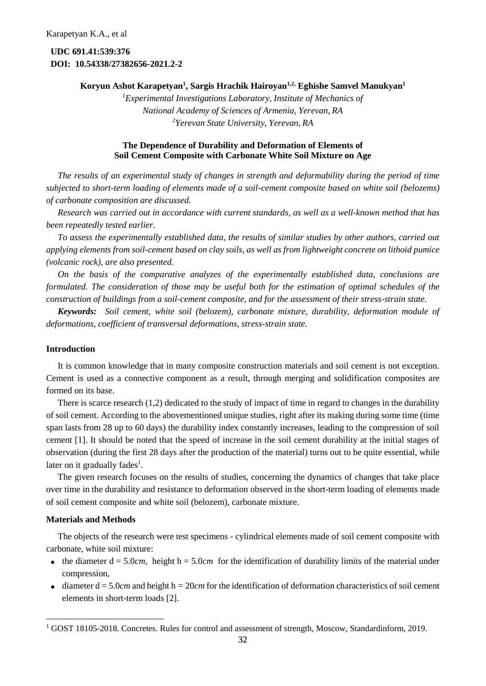**UDC 691.41:539:376 DOI: 10.54338/27382656-2021.2-2**

# **Koryun Ashot Karapetyan<sup>1</sup> , Sargis Hrachik Hairoyan1,2, Eghishe Samvel Manukyan<sup>1</sup>**

*<sup>1</sup>Experimental Investigations Laboratory, Institute of Mechanics of National Academy of Sciences of Armenia, Yerevan, RA <sup>2</sup>Yerevan State University, Yerevan, RA*

# **The Dependence of Durability and Deformation of Elements of Soil Cement Composite with Carbonate White Soil Mixture on Age**

*The results of an experimental study of changes in strength and deformability during the period of time subjected to short-term loading of elements made of a soil-cement composite based on white soil (belozems) of carbonate composition are discussed.*

*Research was carried out in accordance with current standards, as well as a well-known method that has been repeatedly tested earlier.*

*To assess the experimentally established data, the results of similar studies by other authors, carried out applying elements from soil-cement based on clay soils, as well as from lightweight concrete on lithoid pumice (volcanic rock), are also presented.*

*On the basis of the comparative analyzes of the experimentally established data, conclusions are formulated. The consideration of those may be useful both for the estimation of optimal schedules of the construction of buildings from a soil-cement composite, and for the assessment of their stress-strain state.*

*Keywords: Soil cement, white soil (belozem), carbonate mixture, durability, deformation module of deformations, coefficient of transversal deformations, stress-strain state.*

## **Introduction**

It is common knowledge that in many composite construction materials and soil cement is not exception. Cement is used as a connective component as a result, through merging and solidification composites are formed on its base.

There is scarce research (1,2) dedicated to the study of impact of time in regard to changes in the durability of soil cement. According to the abovementioned unique studies, right after its making during some time (time span lasts from 28 up to 60 days) the durability index constantly increases, leading to the compression of soil cement [1]. It should be noted that the speed of increase in the soil cement durability at the initial stages of observation (during the first 28 days after the production of the material) turns out to be quite essential, while later on it gradually fades<sup>1</sup>.

The given research focuses on the results of studies, concerning the dynamics of changes that take place over time in the durability and resistance to deformation observed in the short-term loading of elements made of soil cement composite and white soil (belozem), carbonate mixture.

## **Materials and Methods**

The objects of the research were test specimens - cylindrical elements made of soil cement composite with carbonate, white soil mixture:

- the diameter  $d = 5.0cm$ , height  $h = 5.0cm$  for the identification of durability limits of the material under compression,
- $\bullet$  diameter  $d = 5.0$ *cm* and height h = 20*cm* for the identification of deformation characteristics of soil cement elements in short-term loads [2].

<sup>&</sup>lt;sup>1</sup> GOST 18105-2018. Concretes. Rules for control and assessment of strength, Moscow, Standardinform, 2019.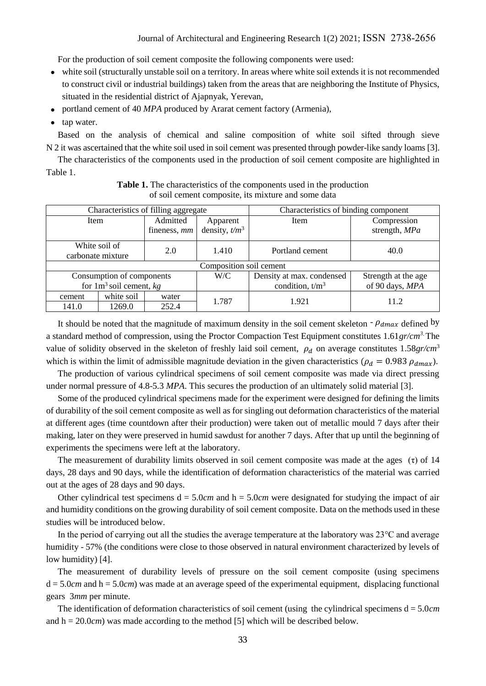For the production of soil cement composite the following components were used:

- white soil (structurally unstable soil on a territory. In areas where white soil extends it is not recommended to construct civil or industrial buildings) taken from the areas that are neighboring the Institute of Physics, situated in the residential district of Ajapnyak, Yerevan,
- portland cement of 40 *MPA* produced by Ararat cement factory (Armenia),
- tap water.

Based on the analysis of chemical and saline composition of white soil sifted through sieve N 2 it was ascertained that the white soil used in soil cement was presented through powder-like sandy loams [3].

The characteristics of the components used in the production of soil cement composite are highlighted in Table 1.

| Characteristics of filling aggregate |            |                          |                              | Characteristics of binding component |                              |  |  |  |
|--------------------------------------|------------|--------------------------|------------------------------|--------------------------------------|------------------------------|--|--|--|
| Item                                 |            | Admitted<br>fineness, mm | Apparent<br>density, $t/m^3$ | Item                                 | Compression<br>strength, MPa |  |  |  |
| White soil of<br>carbonate mixture   |            | 2.0                      | 1.410                        | Portland cement                      | 40.0                         |  |  |  |
| Composition soil cement              |            |                          |                              |                                      |                              |  |  |  |
| Consumption of components            |            |                          | W/C                          | Density at max. condensed            | Strength at the age          |  |  |  |
| for $1m^3$ soil cement, $kg$         |            |                          |                              | condition, $t/m3$                    | of 90 days, MPA              |  |  |  |
| cement                               | white soil | water                    | 1.787                        | 1.921                                | 11.2                         |  |  |  |
| 141.0                                | 1269.0     | 252.4                    |                              |                                      |                              |  |  |  |

**Table 1.** The characteristics of the components used in the production of soil cement composite, its mixture and some data

It should be noted that the magnitude of maximum density in the soil cement skeleton  $-\rho_{dmax}$  defined by a standard method of compression, using the Proctor Compaction Test Equipment constitutes 1.61*gr/cm<sup>3</sup>*. The value of solidity observed in the skeleton of freshly laid soil cement,  $\rho_d$  on average constitutes 1.58*gr/cm*<sup>3</sup> which is within the limit of admissible magnitude deviation in the given characteristics ( $\rho_d = 0.983 \rho_{dmax}$ ).

The production of various cylindrical specimens of soil cement composite was made via direct pressing under normal pressure of 4.8-5.3 *MPA*. This secures the production of an ultimately solid material [3].

Some of the produced cylindrical specimens made for the experiment were designed for defining the limits of durability of the soil cement composite as well as for singling out deformation characteristics of the material at different ages (time countdown after their production) were taken out of metallic mould 7 days after their making, later on they were preserved in humid sawdust for another 7 days. After that up until the beginning of experiments the specimens were left at the laboratory.

The measurement of durability limits observed in soil cement composite was made at the ages  $(τ)$  of 14 days, 28 days and 90 days, while the identification of deformation characteristics of the material was carried out at the ages of 28 days and 90 days.

Other cylindrical test specimens  $d = 5.0*cm*$  and  $h = 5.0*cm*$  were designated for studying the impact of air and humidity conditions on the growing durability of soil cement composite. Data on the methods used in these studies will be introduced below.

In the period of carrying out all the studies the average temperature at the laboratory was  $23^{\circ}$ C and average humidity - 57% (the conditions were close to those observed in natural environment characterized by levels of low humidity) [4].

The measurement of durability levels of pressure on the soil cement composite (using specimens  $d = 5.0cm$  and  $h = 5.0cm$ ) was made at an average speed of the experimental equipment, displacing functional gears 3*mm* per minute.

The identification of deformation characteristics of soil cement (using the cylindrical specimens d = 5.0*cm* and  $h = 20.0$ *cm*) was made according to the method [5] which will be described below.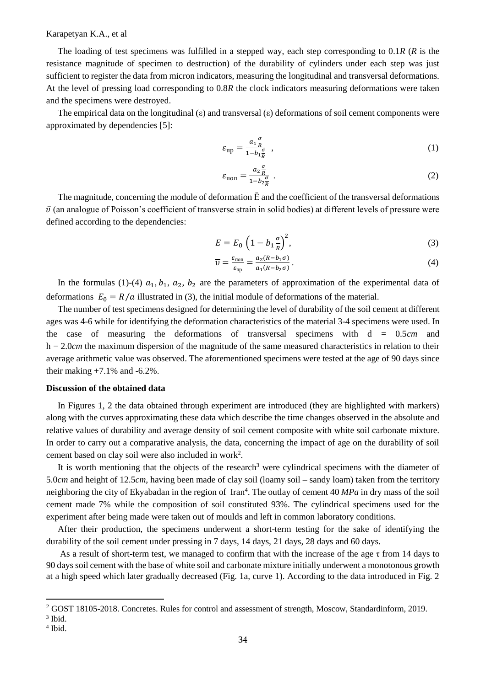## Karapetyan K.A., et al

The loading of test specimens was fulfilled in a stepped way, each step corresponding to 0.1*R* (*R* is the resistance magnitude of specimen to destruction) of the durability of cylinders under each step was just sufficient to register the data from micron indicators, measuring the longitudinal and transversal deformations. At the level of pressing load corresponding to 0.8*R* the clock indicators measuring deformations were taken and the specimens were destroyed.

The empirical data on the longitudinal  $(\epsilon)$  and transversal  $(\epsilon)$  deformations of soil cement components were approximated by dependencies [5]:

$$
\varepsilon_{\text{np}} = \frac{a_1 \frac{\sigma}{R}}{1 - b_1 \frac{\sigma}{R}} \tag{1}
$$

$$
\varepsilon_{\text{non}} = \frac{a_2 \frac{\sigma}{R}}{1 - b_2 \frac{\sigma}{R}} \tag{2}
$$

The magnitude, concerning the module of deformation  $\bar{E}$  and the coefficient of the transversal deformations  $\bar{v}$  (an analogue of Poisson's coefficient of transverse strain in solid bodies) at different levels of pressure were defined according to the dependencies:

$$
\overline{E} = \overline{E}_0 \left( 1 - b_1 \frac{\sigma}{R} \right)^2,\tag{3}
$$

$$
\overline{v} = \frac{\varepsilon_{\text{non}}}{\varepsilon_{\text{np}}} = \frac{a_2 (R - b_1 \sigma)}{a_1 (R - b_2 \sigma)}.
$$
\n(4)

In the formulas (1)-(4)  $a_1$ ,  $b_1$ ,  $a_2$ ,  $b_2$  are the parameters of approximation of the experimental data of deformations  $\overline{E_0} = R/a$  illustrated in (3), the initial module of deformations of the material.

The number of test specimens designed for determining the level of durability of the soil cement at different ages was 4-6 while for identifying the deformation characteristics of the material 3-4 specimens were used. In the case of measuring the deformations of transversal specimens with d = 0.5*cm* and h = 2.0*cm* the maximum dispersion of the magnitude of the same measured characteristics in relation to their average arithmetic value was observed. The aforementioned specimens were tested at the age of 90 days since their making  $+7.1\%$  and  $-6.2\%$ .

#### **Discussion of the obtained data**

In Figures 1, 2 the data obtained through experiment are introduced (they are highlighted with markers) along with the curves approximating these data which describe the time changes observed in the absolute and relative values of durability and average density of soil cement composite with white soil carbonate mixture. In order to carry out a comparative analysis, the data, concerning the impact of age on the durability of soil cement based on clay soil were also included in work<sup>2</sup> .

It is worth mentioning that the objects of the research<sup>3</sup> were cylindrical specimens with the diameter of 5.0*cm* and height of 12.5*cm*, having been made of clay soil (loamy soil – sandy loam) taken from the territory neighboring the city of Ekyabadan in the region of Iran<sup>4</sup>. The outlay of cement 40 *MPa* in dry mass of the soil cement made 7% while the composition of soil constituted 93%. The cylindrical specimens used for the experiment after being made were taken out of moulds and left in common laboratory conditions.

After their production, the specimens underwent a short-term testing for the sake of identifying the durability of the soil cement under pressing in 7 days, 14 days, 21 days, 28 days and 60 days.

As a result of short-term test, we managed to confirm that with the increase of the age  $\tau$  from 14 days to 90 days soil cement with the base of white soil and carbonate mixture initially underwent a monotonous growth at a high speed which later gradually decreased (Fig. 1a, curve 1). According to the data introduced in Fig. 2

<sup>&</sup>lt;sup>2</sup> GOST 18105-2018. Concretes. Rules for control and assessment of strength, Moscow, Standardinform, 2019.

<sup>3</sup> Ibid.

<sup>4</sup> Ibid.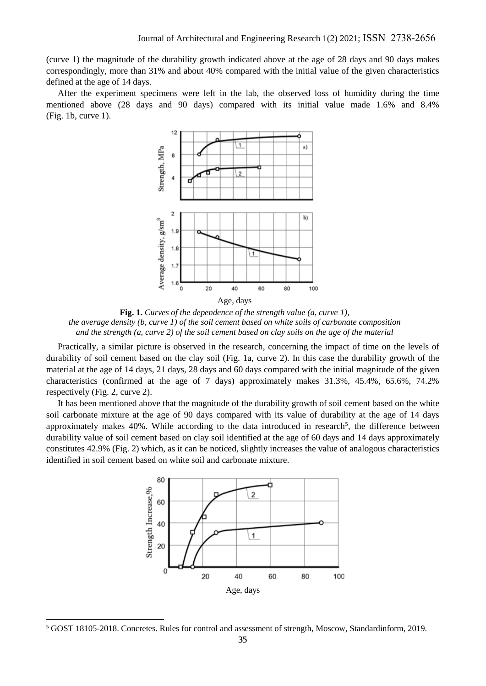(curve 1) the magnitude of the durability growth indicated above at the age of 28 days and 90 days makes correspondingly, more than 31% and about 40% compared with the initial value of the given characteristics defined at the age of 14 days.

After the experiment specimens were left in the lab, the observed loss of humidity during the time mentioned above (28 days and 90 days) compared with its initial value made 1.6% and 8.4% (Fig. 1b, curve 1).



**Fig. 1.** *Curves of the dependence of the strength value (a, curve 1), the average density (b, curve 1) of the soil cement based on white soils of carbonate composition and the strength (a, curve 2) of the soil cement based on clay soils on the age of the material*

Practically, a similar picture is observed in the research, concerning the impact of time on the levels of durability of soil cement based on the clay soil (Fig. 1a, curve 2). In this case the durability growth of the material at the age of 14 days, 21 days, 28 days and 60 days compared with the initial magnitude of the given characteristics (confirmed at the age of 7 days) approximately makes 31.3%, 45.4%, 65.6%, 74.2% respectively (Fig. 2, curve 2).

It has been mentioned above that the magnitude of the durability growth of soil cement based on the white soil carbonate mixture at the age of 90 days compared with its value of durability at the age of 14 days approximately makes 40%. While according to the data introduced in research<sup>5</sup>, the difference between durability value of soil cement based on clay soil identified at the age of 60 days and 14 days approximately constitutes 42.9% (Fig. 2) which, as it can be noticed, slightly increases the value of analogous characteristics identified in soil cement based on white soil and carbonate mixture.



<sup>5</sup> GOST 18105-2018. Concretes. Rules for control and assessment of strength, Moscow, Standardinform, 2019.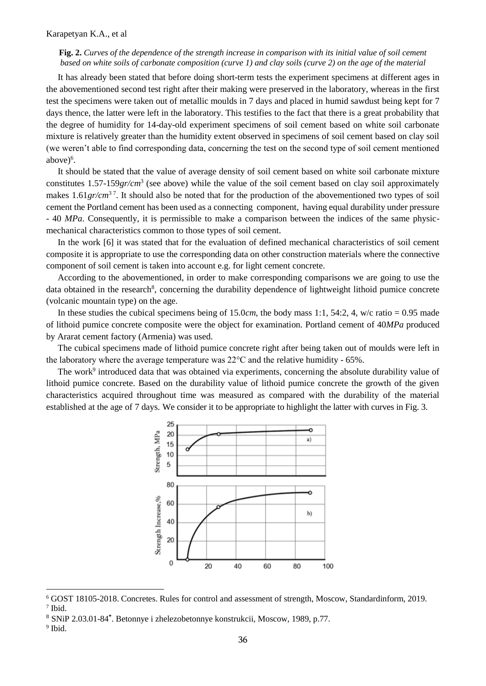## **Fig. 2.** *Curves of the dependence of the strength increase in comparison with its initial value of soil cement based on white soils of carbonate composition (curve 1) and clay soils (curve 2) on the age of the material*

It has already been stated that before doing short-term tests the experiment specimens at different ages in the abovementioned second test right after their making were preserved in the laboratory, whereas in the first test the specimens were taken out of metallic moulds in 7 days and placed in humid sawdust being kept for 7 days thence, the latter were left in the laboratory. This testifies to the fact that there is a great probability that the degree of humidity for 14-day-old experiment specimens of soil cement based on white soil carbonate mixture is relatively greater than the humidity extent observed in specimens of soil cement based on clay soil (we weren't able to find corresponding data, concerning the test on the second type of soil cement mentioned above)<sup>6</sup>.

It should be stated that the value of average density of soil cement based on white soil carbonate mixture constitutes 1.57-159*gr/cm*<sup>3</sup> (see above) while the value of the soil cement based on clay soil approximately makes 1.61*gr/cm*<sup>37</sup>. It should also be noted that for the production of the abovementioned two types of soil cement the Portland cement has been used as a connecting component, having equal durability under pressure - 40 *MPa*. Consequently, it is permissible to make a comparison between the indices of the same physicmechanical characteristics common to those types of soil cement.

In the work [6] it was stated that for the evaluation of defined mechanical characteristics of soil cement composite it is appropriate to use the corresponding data on other construction materials where the connective component of soil cement is taken into account e.g. for light cement concrete.

According to the abovementioned, in order to make corresponding comparisons we are going to use the data obtained in the research<sup>8</sup>, concerning the durability dependence of lightweight lithoid pumice concrete (volcanic mountain type) on the age.

In these studies the cubical specimens being of 15.0*cm*, the body mass 1:1, 54:2, 4, w/c ratio = 0.95 made of lithoid pumice concrete composite were the object for examination. Portland cement of 40*MPa* produced by Ararat cement factory (Armenia) was used.

The cubical specimens made of lithoid pumice concrete right after being taken out of moulds were left in the laboratory where the average temperature was 22°C and the relative humidity - 65%.

The work<sup>9</sup> introduced data that was obtained via experiments, concerning the absolute durability value of lithoid pumice concrete. Based on the durability value of lithoid pumice concrete the growth of the given characteristics acquired throughout time was measured as compared with the durability of the material established at the age of 7 days. We consider it to be appropriate to highlight the latter with curves in Fig. 3.



<sup>6</sup> GOST 18105-2018. Concretes. Rules for control and assessment of strength, Moscow, Standardinform, 2019.

<sup>7</sup> Ibid.

<sup>8</sup> SNiP 2.03.01-84**\*** . Betonnye i zhelezobetonnye konstrukcii, Moscow, 1989, p.77.

<sup>9</sup> Ibid.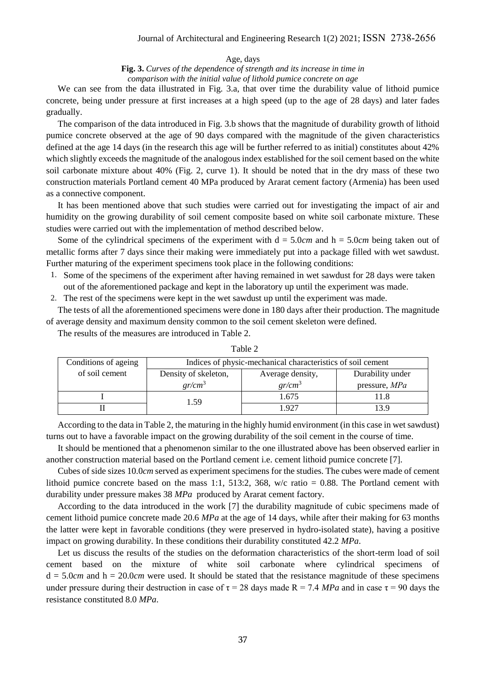Age, days

**Fig. 3.** *Curves of the dependence of strength and its increase in time in comparison with the initial value of lithold pumice concrete on age*

We can see from the data illustrated in Fig. 3.a, that over time the durability value of lithoid pumice concrete, being under pressure at first increases at a high speed (up to the age of 28 days) and later fades gradually.

The comparison of the data introduced in Fig. 3.b shows that the magnitude of durability growth of lithoid pumice concrete observed at the age of 90 days compared with the magnitude of the given characteristics defined at the age 14 days (in the research this age will be further referred to as initial) constitutes about 42% which slightly exceeds the magnitude of the analogous index established for the soil cement based on the white soil carbonate mixture about 40% (Fig. 2, curve 1). It should be noted that in the dry mass of these two construction materials Portland cement 40 MPa produced by Ararat cement factory (Armenia) has been used as a connective component.

It has been mentioned above that such studies were carried out for investigating the impact of air and humidity on the growing durability of soil cement composite based on white soil carbonate mixture. These studies were carried out with the implementation of method described below.

Some of the cylindrical specimens of the experiment with  $d = 5.0$ *cm* and  $h = 5.0$ *cm* being taken out of metallic forms after 7 days since their making were immediately put into a package filled with wet sawdust. Further maturing of the experiment specimens took place in the following conditions:

- 1. Some of the specimens of the experiment after having remained in wet sawdust for 28 days were taken out of the aforementioned package and kept in the laboratory up until the experiment was made.
- 2. The rest of the specimens were kept in the wet sawdust up until the experiment was made.

The tests of all the aforementioned specimens were done in 180 days after their production. The magnitude of average density and maximum density common to the soil cement skeleton were defined.

The results of the measures are introduced in Table 2.

| Conditions of ageing | Indices of physic-mechanical characteristics of soil cement |                  |                  |  |  |  |
|----------------------|-------------------------------------------------------------|------------------|------------------|--|--|--|
| of soil cement       | Density of skeleton,                                        | Average density, | Durability under |  |  |  |
|                      | $gr/cm^3$                                                   | $gr/cm^3$        | pressure, MPa    |  |  |  |
|                      | 1.59                                                        | 1.675            |                  |  |  |  |
|                      |                                                             | $\sqrt{97}$      |                  |  |  |  |

Table 2

According to the data in Table 2, the maturing in the highly humid environment (in this case in wet sawdust) turns out to have a favorable impact on the growing durability of the soil cement in the course of time.

It should be mentioned that a phenomenon similar to the one illustrated above has been observed earlier in another construction material based on the Portland cement i.e. cement lithoid pumice concrete [7].

Cubes of side sizes 10.0*cm* served as experiment specimens for the studies. The cubes were made of cement lithoid pumice concrete based on the mass 1:1, 513:2, 368, w/c ratio = 0.88. The Portland cement with durability under pressure makes 38 *MPa* produced by Ararat cement factory.

According to the data introduced in the work [7] the durability magnitude of cubic specimens made of cement lithoid pumice concrete made 20.6 *MPa* at the age of 14 days, while after their making for 63 months the latter were kept in favorable conditions (they were preserved in hydro-isolated state), having a positive impact on growing durability. In these conditions their durability constituted 42.2 *MPa*.

Let us discuss the results of the studies on the deformation characteristics of the short-term load of soil cement based on the mixture of white soil carbonate where cylindrical specimens of  $d = 5.0*cm*$  and  $h = 20.0*cm*$  were used. It should be stated that the resistance magnitude of these specimens under pressure during their destruction in case of  $\tau = 28$  days made R = 7.4 *MPa* and in case  $\tau = 90$  days the resistance constituted 8.0 *MPa*.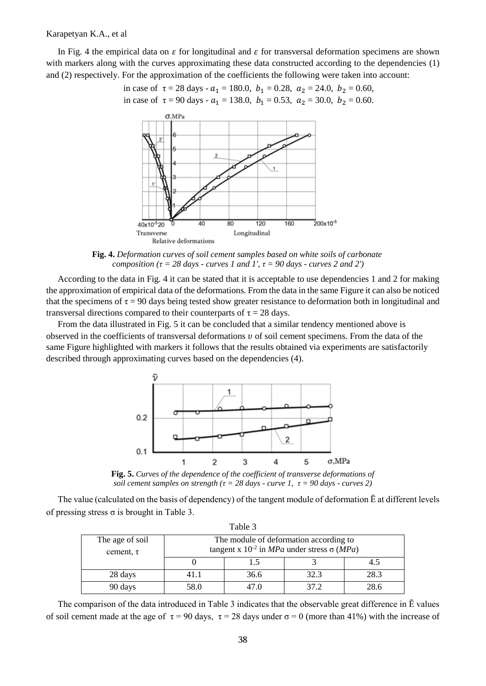### Karapetyan K.A., et al

In Fig. 4 the empirical data on  $\varepsilon$  for longitudinal and  $\varepsilon$  for transversal deformation specimens are shown with markers along with the curves approximating these data constructed according to the dependencies (1) and (2) respectively. For the approximation of the coefficients the following were taken into account:

in case of 
$$
\tau = 28
$$
 days -  $a_1 = 180.0$ ,  $b_1 = 0.28$ ,  $a_2 = 24.0$ ,  $b_2 = 0.60$ ,  
in case of  $\tau = 90$  days -  $a_1 = 138.0$ ,  $b_1 = 0.53$ ,  $a_2 = 30.0$ ,  $b_2 = 0.60$ .



**Fig. 4.** *Deformation curves of soil cement samples based on white soils of carbonate composition* ( $\tau$  = 28 days - *curves 1 and 1'*,  $\tau$  = 90 days - *curves 2 and 2'*)

According to the data in Fig. 4 it can be stated that it is acceptable to use dependencies 1 and 2 for making the approximation of empirical data of the deformations. From the data in the same Figure it can also be noticed that the specimens of  $\tau = 90$  days being tested show greater resistance to deformation both in longitudinal and transversal directions compared to their counterparts of  $\tau = 28$  days.

From the data illustrated in Fig. 5 it can be concluded that a similar tendency mentioned above is observed in the coefficients of transversal deformations  $\nu$  of soil cement specimens. From the data of the same Figure highlighted with markers it follows that the results obtained via experiments are satisfactorily described through approximating curves based on the dependencies (4).



**Fig. 5.** *Curves of the dependence of the coefficient of transverse deformations of soil cement samples on strength* ( $\tau$  = 28 *days - curve 1,*  $\tau$  = 90 *days - curves* 2)

The value (calculated on the basis of dependency) of the tangent module of deformation Ē at different levels of pressing stress  $\sigma$  is brought in Table 3.

| Table 3                           |                                                                                                                  |      |      |      |  |  |  |  |
|-----------------------------------|------------------------------------------------------------------------------------------------------------------|------|------|------|--|--|--|--|
| The age of soil<br>cement, $\tau$ | The module of deformation according to<br>tangent x $10^{-2}$ in <i>MPa</i> under stress $\sigma$ ( <i>MPa</i> ) |      |      |      |  |  |  |  |
|                                   |                                                                                                                  | 1.5  |      |      |  |  |  |  |
| 28 days                           | 41.1                                                                                                             | 36.6 | 32.3 | 28.3 |  |  |  |  |
| 90 days                           | 58.0                                                                                                             | 47.0 | 37.2 | 28.6 |  |  |  |  |

The comparison of the data introduced in Table 3 indicates that the observable great difference in Ē values of soil cement made at the age of  $\tau = 90$  days,  $\tau = 28$  days under  $\sigma = 0$  (more than 41%) with the increase of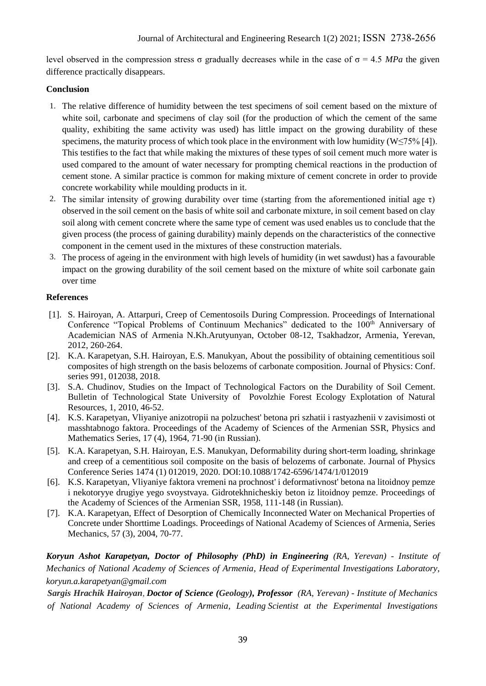level observed in the compression stress σ gradually decreases while in the case of σ = 4.5 *MPa* the given difference practically disappears.

# **Conclusion**

- 1. The relative difference of humidity between the test specimens of soil cement based on the mixture of white soil, carbonate and specimens of clay soil (for the production of which the cement of the same quality, exhibiting the same activity was used) has little impact on the growing durability of these specimens, the maturity process of which took place in the environment with low humidity ( $W \le 75\%$  [4]). This testifies to the fact that while making the mixtures of these types of soil cement much more water is used compared to the amount of water necessary for prompting chemical reactions in the production of cement stone. A similar practice is common for making mixture of cement concrete in order to provide concrete workability while moulding products in it.
- 2. The similar intensity of growing durability over time (starting from the aforementioned initial age  $\tau$ ) observed in the soil cement on the basis of white soil and carbonate mixture, in soil cement based on clay soil along with cement concrete where the same type of cement was used enables us to conclude that the given process (the process of gaining durability) mainly depends on the characteristics of the connective component in the cement used in the mixtures of these construction materials.
- 3. The process of ageing in the environment with high levels of humidity (in wet sawdust) has a favourable impact on the growing durability of the soil cement based on the mixture of white soil carbonate gain over time

# **References**

- [1]. S. Hairoyan, A. Attarpuri, Creep of Cementosoils During Compression. Proceedings of International Conference "Topical Problems of Continuum Mechanics" dedicated to the 100<sup>th</sup> Anniversary of Academician NAS of Armenia N.Kh.Arutyunyan, October 08-12, Tsakhadzor, Armenia, Yerevan, 2012, 260-264.
- [2]. K.A. Karapetyan, S.H. Hairoyan, E.S. Manukyan, About the possibility of obtaining cementitious soil composites of high strength on the basis belozems of carbonate composition. Journal of Physics: Conf. series 991, 012038, 2018.
- [3]. S.A. Chudinov, Studies on the Impact of Technological Factors on the Durability of Soil Cement. Bulletin of Technological State University of Povolzhie Forest Ecology Explotation of Natural Resources, 1, 2010, 46-52.
- [4]. K.S. Karapetyan, Vliyaniye anizotropii na polzuchest' betona pri szhatii i rastyazhenii v zavisimosti ot masshtabnogo faktora. Proceedings of the Academy of Sciences of the Armenian SSR, Physics and Mathematics Series, 17 (4), 1964, 71-90 (in Russian).
- [5]. K.A. Karapetyan, S.H. Hairoyan, Е.S. Manukyan, Deformability during short-term loading, shrinkage and creep of a cementitious soil composite on the basis of belozems of carbonate. Journal of Physics Conference Series 1474 (1) 012019, 2020. DOI[:10.1088/1742-6596/1474/1/012019](http://dx.doi.org/10.1088/1742-6596/1474/1/012019)
- [6]. K.S. Karapetyan, Vliyaniye faktora vremeni na prochnost' i deformativnost' betona na litoidnoy pemze i nekotoryye drugiye yego svoystvaya. Gidrotekhnicheskiy beton iz litoidnoy pemze. Proceedings of the Academy of Sciences of the Armenian SSR, 1958, 111-148 (in Russian).
- [7]. K.A. Karapetyan, Effect of Desorption of Chemically Inconnected Water on Mechanical Properties of Concrete under Shorttime Loadings. Proceedings of National Academy of Sciences of Armenia, Series Mechanics, 57 (3), 2004, 70-77.

*Koryun Ashot Karapetyan, Doctor of Philosophy (PhD) in Engineering (RA, Yerevan) - Institute of Mechanics of National Academy of Sciences of Armenia, Head of Experimental Investigations Laboratory, [koryun.a.karapetyan@gmail.com](mailto:koryun.a.karapetyan@gmail.com)*

*Sargis Hrachik Hairoyan, Doctor of Science (Geology), Professor (RA, Yerevan) - Institute of Mechanics of National Academy of Sciences of Armenia, Leading Scientist at the Experimental Investigations*